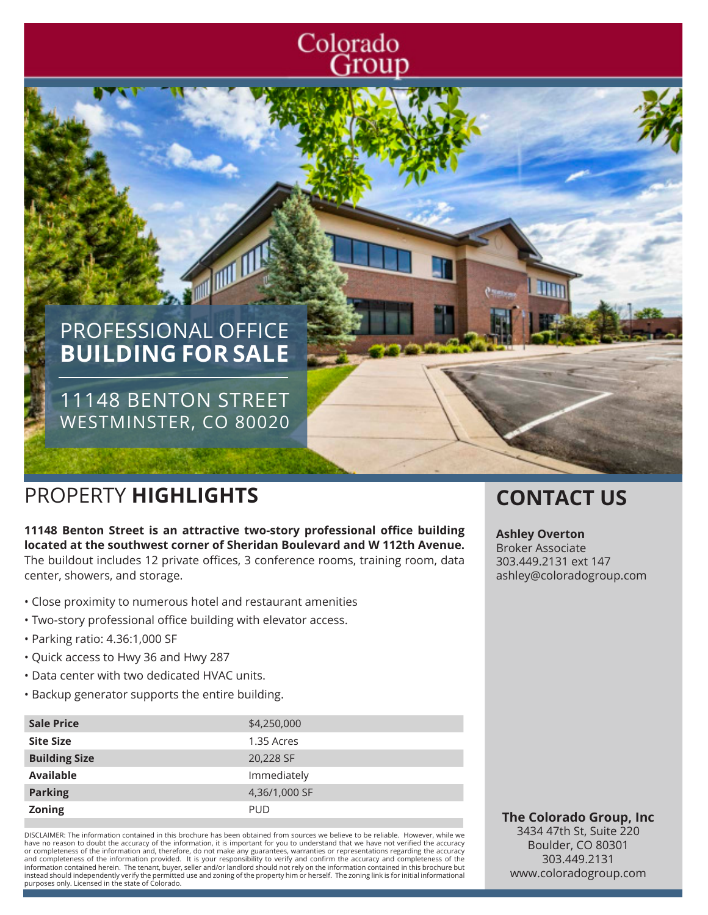# Colorado<br>Group

# PROFESSIONAL OFFICE **BUILDING FOR SALE**

11148 BENTON STREET WESTMINSTER, CO 80020

## PROPERTY **HIGHLIGHTS CONTACT US**

**11148 Benton Street is an attractive two-story professional office building located at the southwest corner of Sheridan Boulevard and W 112th Avenue.**  The buildout includes 12 private offices, 3 conference rooms, training room, data center, showers, and storage.

一

- Close proximity to numerous hotel and restaurant amenities
- Two-story professional office building with elevator access.
- Parking ratio: 4.36:1,000 SF
- Quick access to Hwy 36 and Hwy 287
- Data center with two dedicated HVAC units.
- Backup generator supports the entire building.

| <b>Sale Price</b>    | \$4,250,000   |
|----------------------|---------------|
| <b>Site Size</b>     | 1.35 Acres    |
| <b>Building Size</b> | 20,228 SF     |
| <b>Available</b>     | Immediately   |
| <b>Parking</b>       | 4,36/1,000 SF |
| <b>Zoning</b>        | <b>PUD</b>    |

DISCLAIMER: The information contained in this brochure has been obtained from sources we believe to be reliable. However, while we have no reason to doubt the accuracy of the information, it is important for you to understand that we have not verified the accuracy<br>or completeness of the information and, therefore, do not make any guarantees, warrantie and completeness of the information provided. It is your responsibility to verify and confirm the accuracy and completeness of the information contained herein. The tenant, buyer, seller and/or landlord should not rely on the information contained in this brochure but<br>instead should independently verify the permitted use and zoning of the property him purposes only. Licensed in the state of Colorado.

#### **Ashley Overton**

Broker Associate 303.449.2131 ext 147 ashley@coloradogroup.com

**The Colorado Group, Inc** 3434 47th St, Suite 220 Boulder, CO 80301 303.449.2131 www.coloradogroup.com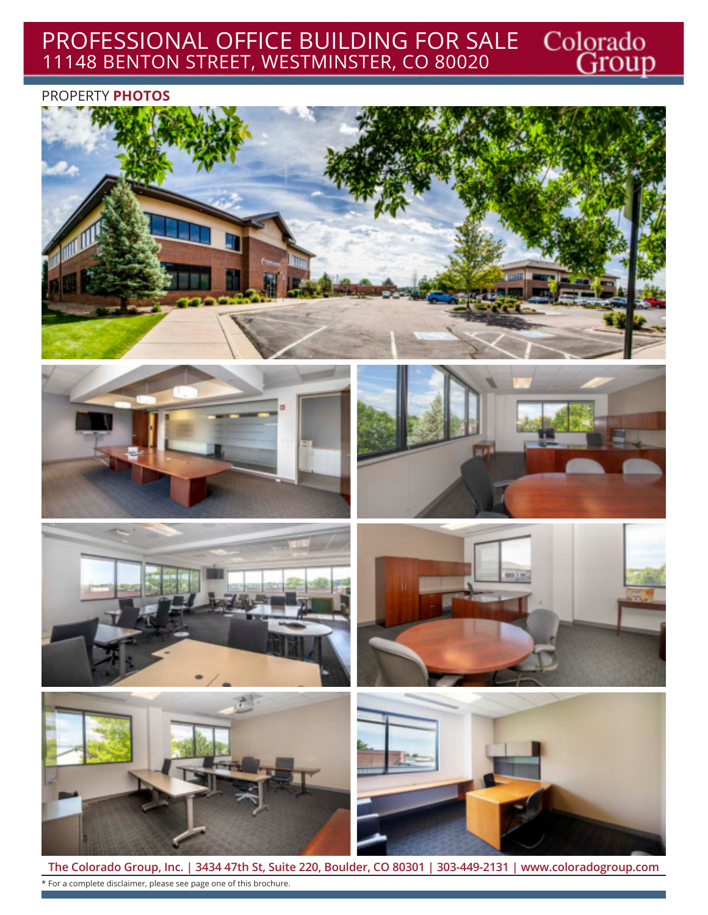## Colorado<br>Group PROFESSIONAL OFFICE BUILDING FOR SALE 11148 BENTON STREET, WESTMINSTER, CO 80020

### PROPERTY **PHOTOS**















**The Colorado Group, Inc. | 3434 47th St, Suite 220, Boulder, CO 80301 | 303-449-2131 | www.coloradogroup.com** \* For a complete disclaimer, please see page one of this brochure.